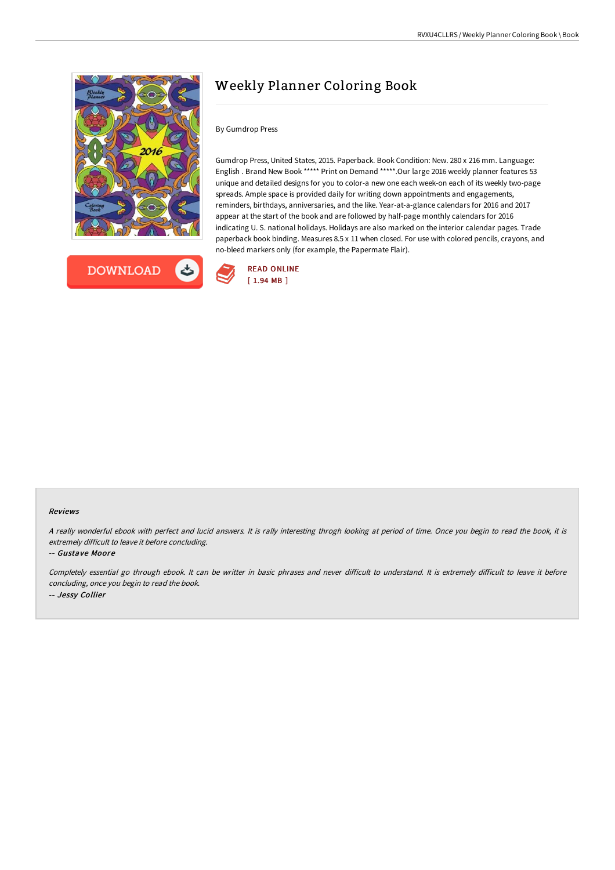



# Weekly Planner Coloring Book

## By Gumdrop Press

Gumdrop Press, United States, 2015. Paperback. Book Condition: New. 280 x 216 mm. Language: English . Brand New Book \*\*\*\*\* Print on Demand \*\*\*\*\*.Our large 2016 weekly planner features 53 unique and detailed designs for you to color-a new one each week-on each of its weekly two-page spreads. Ample space is provided daily for writing down appointments and engagements, reminders, birthdays, anniversaries, and the like. Year-at-a-glance calendars for 2016 and 2017 appear at the start of the book and are followed by half-page monthly calendars for 2016 indicating U. S. national holidays. Holidays are also marked on the interior calendar pages. Trade paperback book binding. Measures 8.5 x 11 when closed. For use with colored pencils, crayons, and no-bleed markers only (for example, the Papermate Flair).



#### Reviews

<sup>A</sup> really wonderful ebook with perfect and lucid answers. It is rally interesting throgh looking at period of time. Once you begin to read the book, it is extremely difficult to leave it before concluding.

-- Gustave Moore

Completely essential go through ebook. It can be writter in basic phrases and never difficult to understand. It is extremely difficult to leave it before concluding, once you begin to read the book. -- Jessy Collier